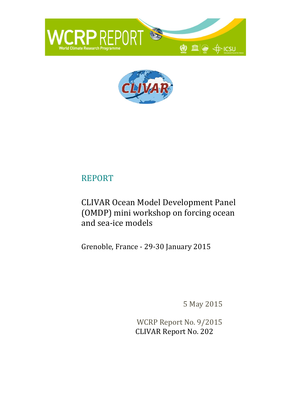



# REPORT

# CLIVAR Ocean Model Development Panel (OMDP) mini workshop on forcing ocean and sea-ice models

Grenoble, France - 29-30 January 2015

5 May 2015

WCRP Report No. 9/2015 CLIVAR Report No. 202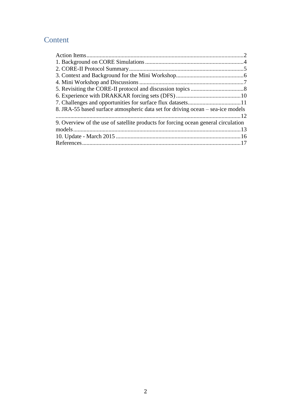# Content

<span id="page-1-0"></span>

| 8. JRA-55 based surface atmospheric data set for driving ocean – sea-ice models    |  |
|------------------------------------------------------------------------------------|--|
|                                                                                    |  |
| 9. Overview of the use of satellite products for forcing ocean general circulation |  |
|                                                                                    |  |
|                                                                                    |  |
|                                                                                    |  |
|                                                                                    |  |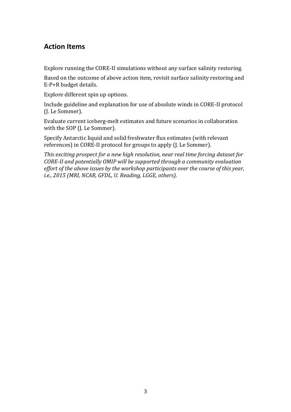# **Action Items**

Explore running the CORE-II simulations without any surface salinity restoring.

Based on the outcome of above action item, revisit surface salinity restoring and E-P+R budget details.

Explore different spin up options.

Include guideline and explanation for use of absolute winds in CORE-II protocol (J. Le Sommer).

Evaluate current iceberg-melt estimates and future scenarios in collaboration with the SOP (J. Le Sommer).

Specify Antarctic liquid and solid freshwater flux estimates (with relevant references) in CORE-II protocol for groups to apply (J. Le Sommer).

*This exciting prospect for a new high resolution, near real time forcing dataset for CORE-II and potentially OMIP will be supported through a community evaluation effort of the above issues by the workshop participants over the course of this year, i.e., 2015 (MRI, NCAR, GFDL, U. Reading, LGGE, others).*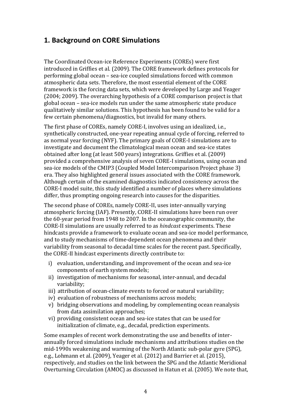## <span id="page-3-0"></span>**1. Background on CORE Simulations**

The Coordinated Ocean-ice Reference Experiments (COREs) were first introduced in Griffies et al. (2009). The CORE framework defines protocols for performing global ocean – sea-ice coupled simulations forced with common atmospheric data sets. Therefore, the most essential element of the CORE framework is the forcing data sets, which were developed by Large and Yeager (2004; 2009). The overarching hypothesis of a CORE comparison project is that global ocean – sea-ice models run under the same atmospheric state produce qualitatively similar solutions. This hypothesis has been found to be valid for a few certain phenomena/diagnostics, but invalid for many others.

The first phase of COREs, namely CORE-I, involves using an idealized, i.e., synthetically constructed, one-year repeating annual cycle of forcing, referred to as normal year forcing (NYF). The primary goals of CORE-I simulations are to investigate and document the climatological mean ocean and sea-ice states obtained after long (at least 500 years) integrations. Griffies et al. (2009) provided a comprehensive analysis of seven CORE-I simulations, using ocean and sea-ice models of the CMIP3 (Coupled Model Intercomparison Project phase 3) era. They also highlighted general issues associated with the CORE framework. Although certain of the examined diagnostics indicated consistency across the CORE-I model suite, this study identified a number of places where simulations differ, thus prompting ongoing research into causes for the disparities.

The second phase of COREs, namely CORE-II, uses inter-annually varying atmospheric forcing (IAF). Presently, CORE-II simulations have been run over the 60-year period from 1948 to 2007. In the oceanographic community, the CORE-II simulations are usually referred to as *hindcast* experiments. These hindcasts provide a framework to evaluate ocean and sea-ice model performance, and to study mechanisms of time-dependent ocean phenomena and their variability from seasonal to decadal time scales for the recent past. Specifically, the CORE-II hindcast experiments directly contribute to:

- i) evaluation, understanding, and improvement of the ocean and sea-ice components of earth system models;
- ii) investigation of mechanisms for seasonal, inter-annual, and decadal variability;
- iii) attribution of ocean-climate events to forced or natural variability;
- iv) evaluation of robustness of mechanisms across models;
- v) bridging observations and modeling, by complementing ocean reanalysis from data assimilation approaches;
- vi) providing consistent ocean and sea-ice states that can be used for initialization of climate, e.g., decadal, prediction experiments.

Some examples of recent work demonstrating the use and benefits of interannually forced simulations include mechanisms and attributions studies on the mid-1990s weakening and warming of the North Atlantic sub-polar gyre (SPG), e.g., Lohmann et al. (2009), Yeager et al. (2012) and Barrier et al. (2015), respectively, and studies on the link between the SPG and the Atlantic Meridional Overturning Circulation (AMOC) as discussed in Hatun et al. (2005). We note that,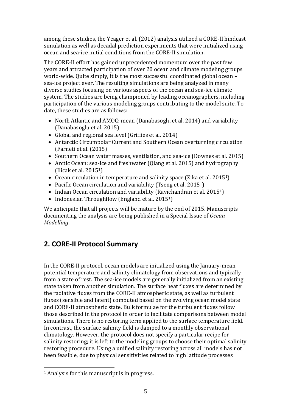among these studies, the Yeager et al. (2012) analysis utilized a CORE-II hindcast simulation as well as decadal prediction experiments that were initialized using ocean and sea-ice initial conditions from the CORE-II simulation.

The CORE-II effort has gained unprecedented momentum over the past few years and attracted participation of over 20 ocean and climate modeling groups world-wide. Quite simply, it is the most successful coordinated global ocean – sea-ice project ever. The resulting simulations are being analyzed in many diverse studies focusing on various aspects of the ocean and sea-ice climate system. The studies are being championed by leading oceanographers, including participation of the various modeling groups contributing to the model suite. To date, these studies are as follows:

- North Atlantic and AMOC: mean (Danabasoglu et al. 2014) and variability (Danabasoglu et al. 2015)
- Global and regional sea level (Griffies et al. 2014)
- Antarctic Circumpolar Current and Southern Ocean overturning circulation (Farneti et al. (2015)
- Southern Ocean water masses, ventilation, and sea-ice (Downes et al. 2015)
- Arctic Ocean: sea-ice and freshwater (Qiang et al. 2015) and hydrography (Ilicak et al. 20151)
- Ocean circulation in temperature and salinity space (Zika et al. 2015<sup>1</sup>)
- Pacific Ocean circulation and variability (Tseng et al. 2015<sup>1</sup>)
- Indian Ocean circulation and variability (Ravichandran et al. 2015<sup>1</sup>)
- $\bullet$  Indonesian Throughflow (England et al. 2015<sup>1</sup>)

We anticipate that all projects will be mature by the end of 2015. Manuscripts documenting the analysis are being published in a Special Issue of *Ocean Modelling*.

# <span id="page-4-0"></span>**2. CORE-II Protocol Summary**

In the CORE-II protocol, ocean models are initialized using the January-mean potential temperature and salinity climatology from observations and typically from a state of rest. The sea-ice models are generally initialized from an existing state taken from another simulation. The surface heat fluxes are determined by the radiative fluxes from the CORE-II atmospheric state, as well as turbulent fluxes (sensible and latent) computed based on the evolving ocean model state and CORE-II atmospheric state. Bulk formulae for the turbulent fluxes follow those described in the protocol in order to facilitate comparisons between model simulations. There is no restoring term applied to the surface temperature field. In contrast, the surface salinity field is damped to a monthly observational climatology. However, the protocol does not specify a particular recipe for salinity restoring; it is left to the modeling groups to choose their optimal salinity restoring procedure. Using a unified salinity restoring across all models has not been feasible, due to physical sensitivities related to high latitude processes

 $\overline{a}$ <sup>1</sup> Analysis for this manuscript is in progress.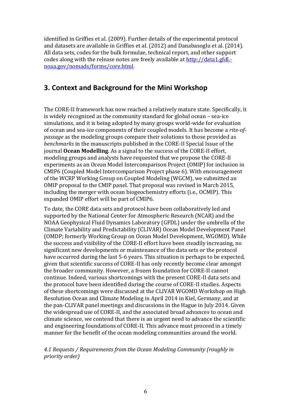identified in Griffies et al. (2009). Further details of the experimental protocol and datasets are available in Griffies et al. (2012) and Danabasoglu et al. (2014). All data sets, codes for the bulk formulae, technical report, and other support codes along with the release notes are freely available a[t http://data1.gfdl.](http://data1.gfdl.-noaa.gov/nomads/forms/core.html) [noaa.gov/nomads/forms/core.html.](http://data1.gfdl.-noaa.gov/nomads/forms/core.html)

# <span id="page-5-0"></span>**3. Context and Background for the Mini Workshop**

The CORE-II framework has now reached a relatively mature state. Specifically, it is widely recognized as the community standard for global ocean – sea-ice simulations, and it is being adopted by many groups world-wide for evaluation of ocean and sea-ice components of their coupled models. It has become a *rite-ofpassage* as the modeling groups compare their solutions to those provided as *benchmarks* in the manuscripts published in the CORE-II Special Issue of the journal **Ocean Modelling**. As a signal to the success of the CORE-II effort, modeling groups and analysts have requested that we propose the CORE-II experiments as an Ocean Model Intercomparison Project (OMIP) for inclusion in CMIP6 (Coupled Model Intercomparison Project phase 6). With encouragement of the WCRP Working Group on Coupled Modeling (WGCM), we submitted an OMIP proposal to the CMIP panel. That proposal was revised in March 2015, including the merger with ocean biogeochemistry efforts (i.e., OCMIP). This expanded OMIP effort will be part of CMIP6.

To date, the CORE data sets and protocol have been collaboratively led and supported by the National Center for Atmospheric Research (NCAR) and the NOAA Geophysical Fluid Dynamics Laboratory (GFDL) under the umbrella of the Climate Variability and Predictability (CLIVAR) Ocean Model Development Panel (OMDP; formerly Working Group on Ocean Model Development, WGOMD). While the success and visibility of the CORE-II effort have been steadily increasing, no significant new developments or maintenance of the data sets or the protocol have occurred during the last 5-6 years. This situation is perhaps to be expected, given that scientific success of CORE-II has only recently become clear amongst the broader community. However, a frozen foundation for CORE-II cannot continue. Indeed, various shortcomings with the present CORE-II data sets and the protocol have been identified during the course of CORE-II studies. Aspects of these shortcomings were discussed at the CLIVAR WGOMD Workshop on High Resolution Ocean and Climate Modeling in April 2014 in Kiel, Germany, and at the pan-CLIVAR panel meetings and discussions in the Hague in July 2014. Given the widespread use of CORE-II, and the associated broad advances to ocean and climate science, we contend that there is an urgent need to advance the scientific and engineering foundations of CORE-II. This advance must proceed in a timely manner for the benefit of the ocean modeling communities around the world.

*4.1 Requests / Requirements from the Ocean Modeling Community (roughly in priority order)*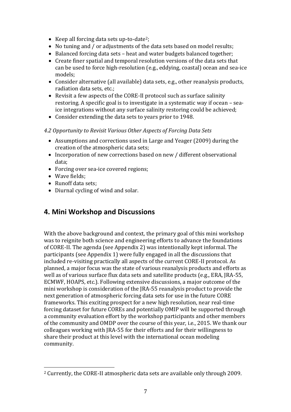- Keep all forcing data sets up-to-date<sup>2</sup>;
- No tuning and / or adjustments of the data sets based on model results;
- Balanced forcing data sets heat and water budgets balanced together;
- Create finer spatial and temporal resolution versions of the data sets that can be used to force high-resolution (e.g., eddying, coastal) ocean and sea-ice models;
- Consider alternative (all available) data sets, e.g., other reanalysis products, radiation data sets, etc.;
- Revisit a few aspects of the CORE-II protocol such as surface salinity restoring. A specific goal is to investigate in a systematic way if ocean – seaice integrations without any surface salinity restoring could be achieved;
- Consider extending the data sets to years prior to 1948.

### *4.2 Opportunity to Revisit Various Other Aspects of Forcing Data Sets*

- Assumptions and corrections used in Large and Yeager (2009) during the creation of the atmospheric data sets;
- Incorporation of new corrections based on new / different observational data;
- Forcing over sea-ice covered regions;
- Wave fields:
- Runoff data sets;
- Diurnal cycling of wind and solar.

### <span id="page-6-0"></span>**4. Mini Workshop and Discussions**

With the above background and context, the primary goal of this mini workshop was to reignite both science and engineering efforts to advance the foundations of CORE-II. The agenda (see Appendix 2) was intentionally kept informal. The participants (see Appendix 1) were fully engaged in all the discussions that included re-visiting practically all aspects of the current CORE-II protocol. As planned, a major focus was the state of various reanalysis products and efforts as well as of various surface flux data sets and satellite products (e.g., ERA, JRA-55, ECMWF, HOAPS, etc.). Following extensive discussions, a major outcome of the mini workshop is consideration of the JRA-55 reanalysis product to provide the next generation of atmospheric forcing data sets for use in the future CORE frameworks. This exciting prospect for a new high resolution, near real-time forcing dataset for future COREs and potentially OMIP will be supported through a community evaluation effort by the workshop participants and other members of the community and OMDP over the course of this year, i.e., 2015. We thank our colleagues working with JRA-55 for their efforts and for their willingness to share their product at this level with the international ocean modeling community.

 $\overline{a}$ <sup>2</sup> Currently, the CORE-II atmospheric data sets are available only through 2009.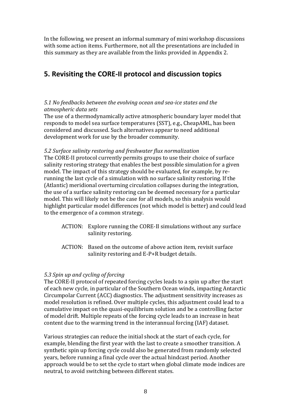In the following, we present an informal summary of mini workshop discussions with some action items. Furthermore, not all the presentations are included in this summary as they are available from the links provided in Appendix 2.

# <span id="page-7-0"></span>**5. Revisiting the CORE-II protocol and discussion topics**

#### *5.1 No feedbacks between the evolving ocean and sea-ice states and the atmospheric data sets*

The use of a thermodynamically active atmospheric boundary layer model that responds to model sea surface temperatures (SST), e.g., CheapAML, has been considered and discussed. Such alternatives appear to need additional development work for use by the broader community.

#### *5.2 Surface salinity restoring and freshwater flux normalization*

The CORE-II protocol currently permits groups to use their choice of surface salinity restoring strategy that enables the best possible simulation for a given model. The impact of this strategy should be evaluated, for example, by rerunning the last cycle of a simulation with no surface salinity restoring. If the (Atlantic) meridional overturning circulation collapses during the integration, the use of a surface salinity restoring can be deemed necessary for a particular model. This will likely not be the case for all models, so this analysis would highlight particular model differences (not which model is better) and could lead to the emergence of a common strategy.

- ACTION: Explore running the CORE-II simulations without any surface salinity restoring.
- ACTION: Based on the outcome of above action item, revisit surface salinity restoring and E-P+R budget details.

#### *5.3 Spin up and cycling of forcing*

The CORE-II protocol of repeated forcing cycles leads to a spin up after the start of each new cycle, in particular of the Southern Ocean winds, impacting Antarctic Circumpolar Current (ACC) diagnostics. The adjustment sensitivity increases as model resolution is refined. Over multiple cycles, this adjustment could lead to a cumulative impact on the quasi-equilibrium solution and be a controlling factor of model drift. Multiple repeats of the forcing cycle leads to an increase in heat content due to the warming trend in the interannual forcing (IAF) dataset.

Various strategies can reduce the initial shock at the start of each cycle, for example, blending the first year with the last to create a smoother transition. A synthetic spin up forcing cycle could also be generated from randomly selected years, before running a final cycle over the actual hindcast period. Another approach would be to set the cycle to start when global climate mode indices are neutral, to avoid switching between different states.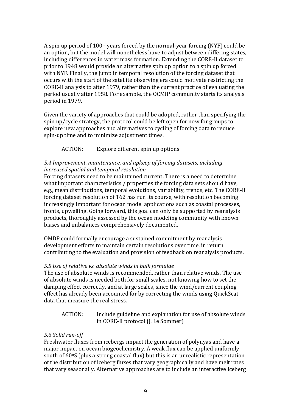A spin up period of 100+ years forced by the normal-year forcing (NYF) could be an option, but the model will nonetheless have to adjust between differing states, including differences in water mass formation. Extending the CORE-II dataset to prior to 1948 would provide an alternative spin up option to a spin up forced with NYF. Finally, the jump in temporal resolution of the forcing dataset that occurs with the start of the satellite observing era could motivate restricting the CORE-II analysis to after 1979, rather than the current practice of evaluating the period usually after 1958. For example, the OCMIP community starts its analysis period in 1979.

Given the variety of approaches that could be adopted, rather than specifying the spin up/cycle strategy, the protocol could be left open for now for groups to explore new approaches and alternatives to cycling of forcing data to reduce spin-up time and to minimize adjustment times.

### ACTION: Explore different spin up options

#### *5.4 Improvement, maintenance, and upkeep of forcing datasets, including increased spatial and temporal resolution*

Forcing datasets need to be maintained current. There is a need to determine what important characteristics / properties the forcing data sets should have, e.g., mean distributions, temporal evolutions, variability, trends, etc. The CORE-II forcing dataset resolution of T62 has run its course, with resolution becoming increasingly important for ocean model applications such as coastal processes, fronts, upwelling. Going forward, this goal can only be supported by reanalysis products, thoroughly assessed by the ocean modeling community with known biases and imbalances comprehensively documented.

OMDP could formally encourage a sustained commitment by reanalysis development efforts to maintain certain resolutions over time, in return contributing to the evaluation and provision of feedback on reanalysis products.

#### *5.5 Use of relative vs. absolute winds in bulk formulae*

The use of absolute winds is recommended, rather than relative winds. The use of absolute winds is needed both for small scales, not knowing how to set the damping effect correctly, and at large scales, since the wind/current coupling effect has already been accounted for by correcting the winds using QuickScat data that measure the real stress.

ACTION: Include guideline and explanation for use of absolute winds in CORE-II protocol (J. Le Sommer)

#### *5.6 Solid run-off*

Freshwater fluxes from icebergs impact the generation of polynyas and have a major impact on ocean biogeochemistry. A weak flux can be applied uniformly south of  $60°S$  (plus a strong coastal flux) but this is an unrealistic representation of the distribution of iceberg fluxes that vary geographically and have melt rates that vary seasonally. Alternative approaches are to include an interactive iceberg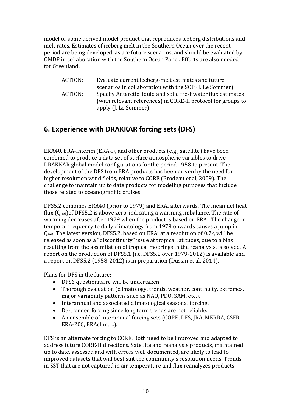model or some derived model product that reproduces iceberg distributions and melt rates. Estimates of iceberg melt in the Southern Ocean over the recent period are being developed, as are future scenarios, and should be evaluated by OMDP in collaboration with the Southern Ocean Panel. Efforts are also needed for Greenland.

ACTION: Evaluate current iceberg-melt estimates and future scenarios in collaboration with the SOP (J. Le Sommer) ACTION: Specify Antarctic liquid and solid freshwater flux estimates (with relevant references) in CORE-II protocol for groups to apply (J. Le Sommer)

# <span id="page-9-0"></span>**6. Experience with DRAKKAR forcing sets (DFS)**

ERA40, ERA-Interim (ERA-i), and other products (e.g., satellite) have been combined to produce a data set of surface atmospheric variables to drive DRAKKAR global model configurations for the period 1958 to present. The development of the DFS from ERA products has been driven by the need for higher resolution wind fields, relative to CORE (Brodeau et al, 2009). The challenge to maintain up to date products for modeling purposes that include those related to oceanographic cruises.

DFS5.2 combines ERA40 (prior to 1979) and ERAi afterwards. The mean net heat flux  $(Q_{net})$ of DFS5.2 is above zero, indicating a warming imbalance. The rate of warming decreases after 1979 when the product is based on ERAi. The change in temporal frequency to daily climatology from 1979 onwards causes a jump in Qnet. The latest version, DFS5.2, based on ERAi at a resolution of 0.7o, will be released as soon as a "discontinuity" issue at tropical latitudes, due to a bias resulting from the assimilation of tropical moorings in the reanalysis, is solved. A report on the production of DFS5.1 (i.e. DFS5.2 over 1979-2012) is available and a report on DFS5.2 (1958-2012) is in preparation (Dussin et al. 2014).

Plans for DFS in the future:

- DFS6 questionnaire will be undertaken.
- Thorough evaluation (climatology, trends, weather, continuity, extremes, major variability patterns such as NAO, PDO, SAM, etc.).
- Interannual and associated climatological seasonal forcing.
- De-trended forcing since long term trends are not reliable.
- An ensemble of interannual forcing sets (CORE, DFS, JRA, MERRA, CSFR, ERA-20C, ERAclim, ...).

DFS is an alternate forcing to CORE. Both need to be improved and adapted to address future CORE-II directions. Satellite and reanalysis products, maintained up to date, assessed and with errors well documented, are likely to lead to improved datasets that will best suit the community's resolution needs. Trends in SST that are not captured in air temperature and flux reanalyzes products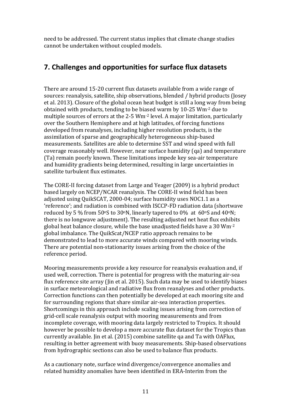need to be addressed. The current status implies that climate change studies cannot be undertaken without coupled models.

# <span id="page-10-0"></span>**7. Challenges and opportunities for surface flux datasets**

There are around 15-20 current flux datasets available from a wide range of sources: reanalysis, satellite, ship observations, blended / hybrid products (Josey et al. 2013). Closure of the global ocean heat budget is still a long way from being obtained with products, tending to be biased warm by 10-25 Wm-2 due to multiple sources of errors at the 2-5 Wm-2 level. A major limitation, particularly over the Southern Hemisphere and at high latitudes, of forcing functions developed from reanalyses, including higher resolution products, is the assimilation of sparse and geographically heterogeneous ship-based measurements. Satellites are able to determine SST and wind speed with full coverage reasonably well. However, near surface humidity (qa) and temperature (Ta) remain poorly known. These limitations impede key sea-air temperature and humidity gradients being determined, resulting in large uncertainties in satellite turbulent flux estimates.

The CORE-II forcing dataset from Large and Yeager (2009) is a hybrid product based largely on NCEP/NCAR reanalysis. The CORE-II wind field has been adjusted using QuikSCAT, 2000-04; surface humidity uses NOC1.1 as a 'reference'; and radiation is combined with ISCCP-FD radiation data (shortwave reduced by 5 % from 50 $\textdegree$ S to 30 $\textdegree$ N, linearly tapered to 0% at 60 $\textdegree$ S and 40 $\textdegree$ N; there is no longwave adjustment). The resulting adjusted net heat flux exhibits global heat balance closure, while the base unadjusted fields have a 30 Wm-2 global imbalance. The QuikScat/NCEP ratio approach remains to be demonstrated to lead to more accurate winds compared with mooring winds. There are potential non-stationarity issues arising from the choice of the reference period.

Mooring measurements provide a key resource for reanalysis evaluation and, if used well, correction. There is potential for progress with the maturing air-sea flux reference site array (Jin et al. 2015). Such data may be used to identify biases in surface meteorological and radiative flux from reanalyses and other products. Correction functions can then potentially be developed at each mooring site and for surrounding regions that share similar air-sea interaction properties. Shortcomings in this approach include scaling issues arising from correction of grid-cell scale reanalysis output with mooring measurements and from incomplete coverage, with mooring data largely restricted to Tropics. It should however be possible to develop a more accurate flux dataset for the Tropics than currently available. Jin et al. (2015) combine satellite qa and Ta with OAFlux, resulting in better agreement with buoy measurements. Ship-based observations from hydrographic sections can also be used to balance flux products.

As a cautionary note, surface wind divergence/convergence anomalies and related humidity anomalies have been identified in ERA-Interim from the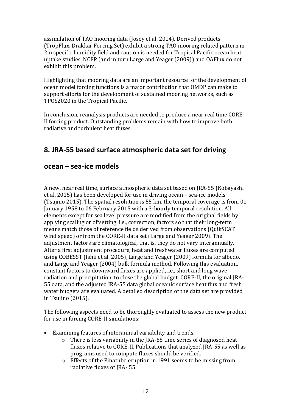assimilation of TAO mooring data (Josey et al. 2014). Derived products (TropFlux, Drakkar Forcing Set) exhibit a strong TAO mooring related pattern in 2m specific humidity field and caution is needed for Tropical Pacific ocean heat uptake studies. NCEP (and in turn Large and Yeager (2009)) and OAFlux do not exhibit this problem.

Highlighting that mooring data are an important resource for the development of ocean model forcing functions is a major contribution that OMDP can make to support efforts for the development of sustained mooring networks, such as TPOS2020 in the Tropical Pacific.

In conclusion, reanalysis products are needed to produce a near real time CORE-II forcing product. Outstanding problems remain with how to improve both radiative and turbulent heat fluxes.

# <span id="page-11-0"></span>**8. JRA-55 based surface atmospheric data set for driving**

### **ocean – sea-ice models**

A new, near real time, surface atmospheric data set based on JRA-55 (Kobayashi et al. 2015) has been developed for use in driving ocean – sea-ice models (Tsujino 2015). The spatial resolution is 55 km, the temporal coverage is from 01 January 1958 to 06 February 2015 with a 3-hourly temporal resolution. All elements except for sea level pressure are modified from the original fields by applying scaling or offsetting, i.e., correction, factors so that their long-term means match those of reference fields derived from observations (QuikSCAT wind speed) or from the CORE-II data set (Large and Yeager 2009). The adjustment factors are climatological, that is, they do not vary interannually. After a first adjustment procedure, heat and freshwater fluxes are computed using COBESST (Ishii et al. 2005), Large and Yeager (2009) formula for albedo, and Large and Yeager (2004) bulk formula method. Following this evaluation, constant factors to downward fluxes are applied, i.e., short and long wave radiation and precipitation, to close the global budget. CORE-II, the original JRA-55 data, and the adjusted JRA-55 data global oceanic surface heat flux and fresh water budgets are evaluated. A detailed description of the data set are provided in Tsujino (2015).

The following aspects need to be thoroughly evaluated to assess the new product for use in forcing CORE-II simulations:

- Examining features of interannual variability and trends.
	- o There is less variability in the JRA-55 time series of diagnosed heat fluxes relative to CORE-II. Publications that analyzed JRA-55 as well as programs used to compute fluxes should be verified.
	- o Effects of the Pinatubo eruption in 1991 seems to be missing from radiative fluxes of JRA- 55.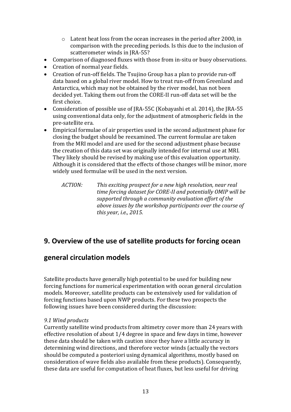- o Latent heat loss from the ocean increases in the period after 2000, in comparison with the preceding periods. Is this due to the inclusion of scatterometer winds in JRA-55?
- Comparison of diagnosed fluxes with those from in-situ or buoy observations.
- Creation of normal year fields.
- Creation of run-off fields. The Tsujino Group has a plan to provide run-off data based on a global river model. How to treat run-off from Greenland and Antarctica, which may not be obtained by the river model, has not been decided yet. Taking them out from the CORE-II run-off data set will be the first choice.
- Consideration of possible use of JRA-55C (Kobayashi et al. 2014), the JRA-55 using conventional data only, for the adjustment of atmospheric fields in the pre-satellite era.
- Empirical formulae of air properties used in the second adjustment phase for closing the budget should be reexamined. The current formulae are taken from the MRI model and are used for the second adjustment phase because the creation of this data set was originally intended for internal use at MRI. They likely should be revised by making use of this evaluation opportunity. Although it is considered that the effects of those changes will be minor, more widely used formulae will be used in the next version.
	- *ACTION: This exciting prospect for a new high resolution, near real time forcing dataset for CORE-II and potentially OMIP will be supported through a community evaluation effort of the above issues by the workshop participants over the course of this year, i.e., 2015.*

# <span id="page-12-0"></span>**9. Overview of the use of satellite products for forcing ocean**

# **general circulation models**

Satellite products have generally high potential to be used for building new forcing functions for numerical experimentation with ocean general circulation models. Moreover, satellite products can be extensively used for validation of forcing functions based upon NWP products. For these two prospects the following issues have been considered during the discussion:

### *9.1 Wind products*

Currently satellite wind products from altimetry cover more than 24 years with effective resolution of about 1/4 degree in space and few days in time, however these data should be taken with caution since they have a little accuracy in determining wind directions, and therefore vector winds (actually the vectors should be computed a posteriori using dynamical algorithms, mostly based on consideration of wave fields also available from these products). Consequently, these data are useful for computation of heat fluxes, but less useful for driving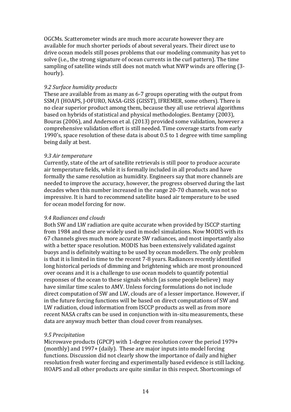OGCMs. Scatterometer winds are much more accurate however they are available for much shorter periods of about several years. Their direct use to drive ocean models still poses problems that our modeling community has yet to solve (i.e., the strong signature of ocean currents in the curl pattern). The time sampling of satellite winds still does not match what NWP winds are offering (3 hourly).

#### *9.2 Surface humidity products*

These are available from as many as 6-7 groups operating with the output from SSM/I (HOAPS, J-OFURO, NASA-GISS (GISST), IFREMER, some others). There is no clear superior product among them, because they all use retrieval algorithms based on hybrids of statistical and physical methodologies. Bentamy (2003), Bouras (2006), and Anderson et al. (2013) provided some validation, however a comprehensive validation effort is still needed. Time coverage starts from early 1990's, space resolution of these data is about 0.5 to 1 degree with time sampling being daily at best.

#### *9.3 Air temperature*

Currently, state of the art of satellite retrievals is still poor to produce accurate air temperature fields, while it is formally included in all products and have formally the same resolution as humidity. Engineers say that more channels are needed to improve the accuracy, however, the progress observed during the last decades when this number increased in the range 20-70 channels, was not so impressive. It is hard to recommend satellite based air temperature to be used for ocean model forcing for now.

#### *9.4 Radiances and clouds*

Both SW and LW radiation are quite accurate when provided by ISCCP starting from 1984 and these are widely used in model simulations. Now MODIS with its 67 channels gives much more accurate SW radiances, and most importantly also with a better space resolution. MODIS has been extensively validated against buoys and is definitely waiting to be used by ocean modellers. The only problem is that it is limited in time to the recent 7-8 years. Radiances recently identified long historical periods of dimming and brightening which are most pronounced over oceans and it is a challenge to use ocean models to quantify potential responses of the ocean to these signals which (as some people believe) may have similar time scales to AMV. Unless forcing formulations do not include direct computation of SW and LW, clouds are of a lesser importance. However, if in the future forcing functions will be based on direct computations of SW and LW radiation, cloud information from ISCCP products as well as from more recent NASA crafts can be used in conjunction with in-situ measurements, these data are anyway much better than cloud cover from reanalyses.

#### *9.5 Precipitation*

Microwave products (GPCP) with 1-degree resolution cover the period 1979+ (monthly) and 1997+ (daily). These are major inputs into model forcing functions. Discussion did not clearly show the importance of daily and higher resolution fresh water forcing and experimentally based evidence is still lacking. HOAPS and all other products are quite similar in this respect. Shortcomings of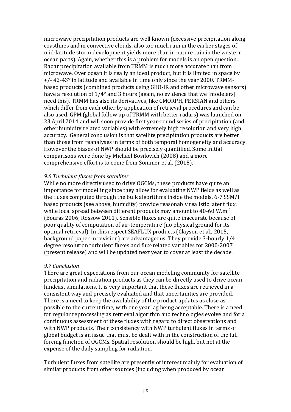microwave precipitation products are well known (excessive precipitation along coastlines and in convective clouds, also too much rain in the earlier stages of mid-latitude storm development yields more than in nature rain in the western ocean parts). Again, whether this is a problem for models is an open question. Radar precipitation available from TRMM is much more accurate than from microwave. Over ocean it is really an ideal product, but it is limited in space by +/- 42-43° in latitude and available in time only since the year 2000. TRMMbased products (combined products using GEO-IR and other microwave sensors) have a resolution of  $1/4^{\circ}$  and 3 hours (again, no evidence that we [modelers] need this). TRMM has also its derivatives, like CMORPH, PERSIAN and others which differ from each other by application of retrieval procedures and can be also used. GPM (global follow up of TRMM with better radars) was launched on 23 April 2014 and will soon provide first year-round series of precipitation (and other humidity related variables) with extremely high resolution and very high accuracy. General conclusion is that satellite precipitation products are better than those from reanalyses in terms of both temporal homogeneity and accuracy. However the biases of NWP should be precisely quantified. Some initial comparisons were done by Michael Bosilovich (2008) and a more comprehensive effort is to come from Sommer et al. (2015).

#### *9.6 Turbulent fluxes from satellites*

While no more directly used to drive OGCMs, these products have quite an importance for modelling since they allow for evaluating NWP fields as well as the fluxes computed through the bulk algorithms inside the models. 6-7 SSM/I based products (see above, humidity) provide reasonably realistic latent flux, while local spread between different products may amount to 40-60 W.m<sup>-2</sup> (Bouras 2006; Rossow 2011). Sensible fluxes are quite inaccurate because of poor quality of computation of air-temperature (no physical ground for its optimal retrieval). In this respect SEAFLUX products (Clayson et al., 2015, background paper in revision) are advantageous. They provide 3-hourly 1/4 degree resolution turbulent fluxes and flux-related variables for 2000-2007 (present release) and will be updated next year to cover at least the decade.

#### *9.7 Conclusion*

There are great expectations from our ocean modeling community for satellite precipitation and radiation products as they can be directly used to drive ocean hindcast simulations. It is very important that these fluxes are retrieved in a consistent way and precisely evaluated and that uncertainties are provided. There is a need to keep the availability of the product updates as close as possible to the current time, with one year lag being acceptable. There is a need for regular reprocessing as retrieval algorithm and technologies evolve and for a continuous assessment of these fluxes with regard to direct observations and with NWP products. Their consistency with NWP turbulent fluxes in terms of global budget is an issue that must be dealt with in the construction of the full forcing function of OGCMs. Spatial resolution should be high, but not at the expense of the daily sampling for radiation.

Turbulent fluxes from satellite are presently of interest mainly for evaluation of similar products from other sources (including when produced by ocean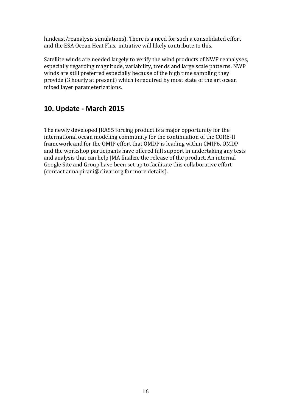hindcast/reanalysis simulations). There is a need for such a consolidated effort and the ESA Ocean Heat Flux initiative will likely contribute to this.

Satellite winds are needed largely to verify the wind products of NWP reanalyses, especially regarding magnitude, variability, trends and large scale patterns. NWP winds are still preferred especially because of the high time sampling they provide (3 hourly at present) which is required by most state of the art ocean mixed layer parameterizations.

# <span id="page-15-0"></span>**10. Update - March 2015**

The newly developed JRA55 forcing product is a major opportunity for the international ocean modeling community for the continuation of the CORE-II framework and for the OMIP effort that OMDP is leading within CMIP6. OMDP and the workshop participants have offered full support in undertaking any tests and analysis that can help JMA finalize the release of the product. An internal Google Site and Group have been set up to facilitate this collaborative effort (contact anna.pirani@clivar.org for more details).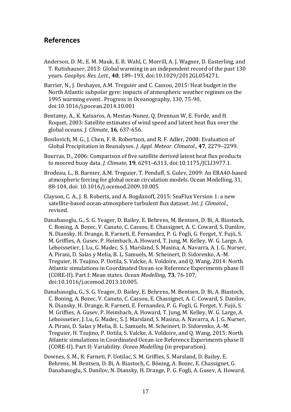### <span id="page-16-0"></span>**References**

- Anderson, D. M., E. M. Mauk, E. R. Wahl, C. Morrill, A. J. Wagner, D. Easterling, and T. Rutishauser, 2013: Global warming in an independent record of the past 130 years. *Geophys. Res. Lett*., **40**, 189–193, doi:10.1029/2012GL054271.
- Barrier, N., J. Deshayes, A.M. Treguier and C. Cassou, 2015: Heat budget in the North Atlantic subpolar gyre: impacts of atmospheric weather regimes on the 1995 warming event.. Progress in Oceanography, 130, 75-90, doi:10.1016/j.pocean.2014.10.001
- Bentamy, A., K. Katsaros, A. Mestas-Nunez, Q. Drennan W, E. Forde, and H. Roquet, 2003: Satellite estimates of wind speed and latent heat flux over the global oceans. *J. Climate*, **16**, 637-656.
- Bosilovich, M. G., J. Chen, F. R. Robertson, and R. F. Adler, 2008: Evaluation of Global Precipitation in Reanalyses. *J. Appl. Meteor. Climatol*., **47**, 2279–2299.
- Bourras, D., 2006: Comparison of five satellite derived latent heat flux products to moored buoy data. *J. Climate*, **19**, 6291–6313, doi:10.1175/JCLI3977.1.
- Brodeau, L., B. Barnier, A.M. Treguier, T. Penduff, S. Gulev, 2009: An ERA40-based atmospheric forcing for global ocean circulation models. Ocean Modelling, 31, 88-104, doi: 10.1016/j.ocemod.2009.10.005
- Clayson, C. A., J. B. Roberts, and A. Bogdanoff, 2015: SeaFlux Version 1: a new satellite-based ocean-atmosphere turbulent flux dataset. *Int. J. Climatol*., revised.
- Danabasoglu, G., S. G. Yeager, D. Bailey, E. Behrens, M. Bentsen, D. Bi, A. Biastoch, C. Boning, A. Bozec, V. Canuto, C. Cassou, E. Chassignet, A. C. Coward, S. Danilov, N. Diansky, H. Drange, R. Farneti, E. Fernandez, P. G. Fogli, G. Forget, Y. Fujii, S. M. Griffies, A. Gusev, P. Heimbach, A. Howard, T. Jung, M. Kelley, W. G. Large, A. Leboissetier, J. Lu, G. Madec, S. J. Marsland, S. Masina, A. Navarra, A. J. G. Nurser, A. Pirani, D. Salas y Melia, B. L. Samuels, M. Scheinert, D. Sidorenko, A.-M. Treguier, H. Tsujino, P. Uotila, S. Valcke, A. Voldoire, and Q. Wang, 2014: North Atlantic simulations in Coordinated Ocean-ice Reference Experiments phase II (CORE-II). Part I: Mean states. *Ocean Modelling*, **73**, 76-107, doi:10.1016/j.ocemod.2013.10.005.
- Danabasoglu, G., S. G. Yeager, D. Bailey, E. Behrens, M. Bentsen, D. Bi, A. Biastoch, C. Boning, A. Bozec, V. Canuto, C. Cassou, E. Chassignet, A. C. Coward, S. Danilov, N. Diansky, H. Drange, R. Farneti, E. Fernandez, P. G. Fogli, G. Forget, Y. Fujii, S. M. Griffies, A. Gusev, P. Heimbach, A. Howard, T. Jung, M. Kelley, W. G. Large, A. Leboissetier, J. Lu, G. Madec, S. J. Marsland, S. Masina, A. Navarra, A. J. G. Nurser, A. Pirani, D. Salas y Melia, B. L. Samuels, M. Scheinert, D. Sidorenko, A.-M. Treguier, H. Tsujino, P. Uotila, S. Valcke, A. Voldoire, and Q. Wang, 2015: North Atlantic simulations in Coordinated Ocean-ice Reference Experiments phase II (CORE-II). Part II: Variability. *Ocean Modelling* (in preparation).
- Downes, S. M., R. Farneti, P. Uotilac, S. M. Griffies, S. Marsland, D. Bailey, E. Behrens, M. Bentsen, D. Bi, A. Biastoch, C. Böning, A. Bozec, E. Chassignet, G. Danabasoglu, S. Danilov, N. Diansky, H. Drange, P. G. Fogli, A. Gusev, A. Howard,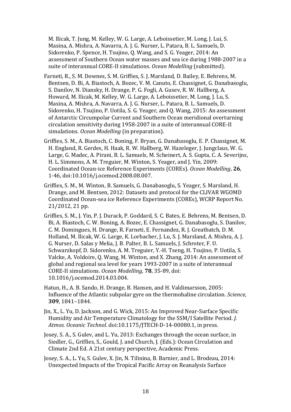M. Ilicak, T. Jung, M. Kelley, W. G. Large, A. Leboissetier, M. Long, J. Lui, S. Masina, A. Mishra, A. Navarra, A. J. G. Nurser, L. Patara, B. L. Samuels, D. Sidorenko, P. Spence, H. Tsujino, Q. Wang, and S. G. Yeager, 2014: An assessment of Southern Ocean water masses and sea ice during 1988-2007 in a suite of interannual CORE-II simulations. *Ocean Modelling* (submitted).

- Farneti, R., S. M. Downes, S. M. Griffies, S. J. Marsland, D. Bailey, E. Behrens, M. Bentsen, D. Bi, A. Biastoch, A. Bozec, V. M. Canuto, E. Chassignet, G. Danabasoglu, S. Danilov, N. Diansky, H. Drange, P. G. Fogli, A. Gusev, R. W. Hallberg, A. Howard, M. Ilicak, M. Kelley, W. G. Large, A. Leboissetier, M. Long, J. Lu, S. Masina, A. Mishra, A. Navarra, A. J. G. Nurser, L. Patara, B. L. Samuels, D. Sidorenko, H. Tsujino, P. Uotila, S. G. Yeager, and Q. Wang, 2015: An assessment of Antarctic Circumpolar Current and Southern Ocean meridional overturning circulation sensitivity during 1958-2007 in a suite of interannual CORE-II simulations. *Ocean Modelling* (in preparation).
- Griffies, S. M., A. Biastoch, C. Boning, F. Bryan, G. Danabasoglu, E. P. Chassignet, M. H. England, R. Gerdes, H. Haak, R. W. Hallberg, W. Hazeleger, J. Jungclaus, W. G. Large, G. Madec, A. Pirani, B. L. Samuels, M. Scheinert, A. S. Gupta, C. A. Severijns, H. L. Simmons, A. M. Treguier, M. Winton, S. Yeager, and J. Yin, 2009: Coordinated Ocean-ice Reference Experiments (COREs). *Ocean Modelling*, **26**, 1-46, doi:10.1016/j.ocemod.2008.08.007.
- Griffies, S. M., M. Winton, B. Samuels, G. Danabasoglu, S. Yeager, S. Marsland, H. Drange, and M. Bentsen, 2012: Datasets and protocol for the CLIVAR WGOMD Coordinated Ocean-sea ice Reference Experiments (COREs), WCRP Report No. 21/2012, 21 pp.
- Griffies, S. M., J. Yin, P. J. Durack, P. Goddard, S. C. Bates, E. Behrens, M. Bentsen, D. Bi, A. Biastoch, C. W. Boning, A. Bozec, E. Chassignet, G. Danabasoglu, S. Danilov, C. M. Domingues, H. Drange, R. Farneti, E. Fernandez, R. J. Greatbatch, D. M. Holland, M. Ilicak, W. G. Large, K. Lorbacher, J. Lu, S. J. Marsland, A. Mishra, A. J. G. Nurser, D. Salas y Melia, J. B. Palter, B. L. Samuels, J. Schroter, F. U. Schwarzkopf, D. Sidorenko, A. M. Treguier, Y.-H. Tseng, H. Tsujino, P. Uotila, S. Valcke, A. Voldoire, Q. Wang, M. Winton, and X. Zhang, 2014: An assessment of global and regional sea level for years 1993-2007 in a suite of interannual CORE-II simulations. *Ocean Modelling*, **78**, 35-89, doi: 10.1016/j.ocemod.2014.03.004.
- Hatun, H., A. B. Sando, H. Drange, B. Hansen, and H. Valdimarsson, 2005: Influence of the Atlantic subpolar gyre on the thermohaline circulation. *Science,* **309**, 1841–1844.
- Jin, X., L. Yu, D. Jackson, and G. Wick, 2015: An Improved Near-Surface Specific Humidity and Air Temperature Climatology for the SSM/I Satellite Period. *J. Atmos. Oceanic Technol*. doi:10.1175/JTECH-D-14-00080.1, in press.

Josey, S. A., S. Gulev, and L. Yu, 2013: Exchanges through the ocean surface, in Siedler, G., Griffies, S., Gould, J. and Church, J. (Eds.): Ocean Circulation and Climate 2nd Ed. A 21st century perspective, Academic Press.

Josey, S. A., L. Yu, S. Gulev, X. Jin, N. Tilinina, B. Barnier, and L. Brodeau, 2014: Unexpected Impacts of the Tropical Pacific Array on Reanalysis Surface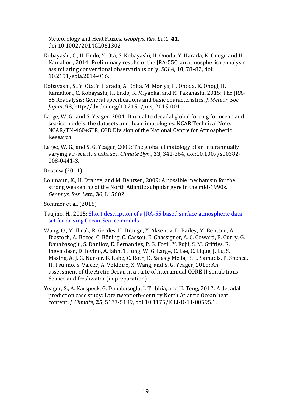Meteorology and Heat Fluxes. *Geophys. Res. Lett*., **41**, doi:10.1002/2014GL061302

- Kobayashi, C., H. Endo, Y. Ota, S. Kobayashi, H. Onoda, Y. Harada, K. Onogi, and H. Kamahori, 2014: Preliminary results of the JRA-55C, an atmospheric reanalysis assimilating conventional observations only. *SOLA*, **10**, 78–82, doi: 10.2151/sola.2014-016.
- Kobayashi, S., Y. Ota, Y. Harada, A. Ebita, M. Moriya, H. Onoda, K. Onogi, H. Kamahori, C. Kobayashi, H. Endo, K. Miyaoka, and K. Takahashi, 2015: The JRA-55 Reanalysis: General specifications and basic characteristics. *J. Meteor. Soc. Japan*, **93**, http://dx.doi.org/10.2151/jmsj.2015-001.
- Large, W. G., and S. Yeager, 2004: Diurnal to decadal global forcing for ocean and sea-ice models: the datasets and flux climatologies. NCAR Technical Note: NCAR/TN-460+STR, CGD Division of the National Centre for Atmospheric Research.
- Large, W. G., and S. G. Yeager, 2009: The global climatology of an interannually varying air-sea flux data set. *Climate Dyn*., **33**, 341-364, doi:10.1007/s00382- 008-0441-3.

Rossow (2011)

Lohmann, K., H. Drange, and M. Bentsen, 2009: A possible mechanism for the strong weakening of the North Atlantic subpolar gyre in the mid-1990s. *Geophys. Res. Lett.,* **36**, L15602.

Sommer et al. (2015)

Tsujino, H., 2015: [Short description of a JRA-55 based surface atmospheric data](https://mri-2.mri-jma.go.jp/owncloud/public.php?service=files&t=3d33d5a6ee3bd326abae2cecbea91bd0)  [set for driving Ocean-Sea ice models.](https://mri-2.mri-jma.go.jp/owncloud/public.php?service=files&t=3d33d5a6ee3bd326abae2cecbea91bd0)

- Wang, Q., M. Ilicak, R. Gerdes, H. Drange, Y. Aksenov, D. Bailey, M. Bentsen, A. Biastoch, A. Bozec, C. Böning, C. Cassou, E. Chassignet, A. C. Coward, B. Curry, G. Danabasoglu, S. Danilov, E. Fernandez, P. G. Fogli, Y. Fujii, S. M. Griffies, R. Ingvaldesn, D. Iovino, A. Jahn, T. Jung, W. G. Large, C. Lee, C. Lique, J. Lu, S. Masina, A. J. G. Nurser, B. Rabe, C. Roth, D. Salas y Melia, B. L. Samuels, P. Spence, H. Tsujino, S. Valcke, A. Voldoire, X. Wang, and S. G. Yeager, 2015: An assessment of the Arctic Ocean in a suite of interannual CORE-II simulations: Sea ice and freshwater (in preparation).
- Yeager, S., A. Karspeck, G. Danabasoglu, J. Tribbia, and H. Teng, 2012: A decadal prediction case study: Late twentieth-century North Atlantic Ocean heat content. *J. Climate*, **25**, 5173-5189, doi:10.1175/JCLI-D-11-00595.1.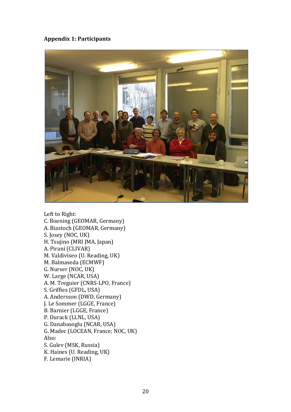#### **Appendix 1: Participants**



Left to Right: C. Boening (GEOMAR, Germany) A. Biastoch (GEOMAR, Germany) S. Josey (NOC, UK) H. Tsujino (MRI JMA, Japan) A. Pirani (CLIVAR) M. Valdiviseo (U. Reading, UK) M. Balmaseda (ECMWF) G. Nurser (NOC, UK) W. Large (NCAR, USA) A. M. Treguier (CNRS-LPO, France) S. Griffies (GFDL, USA) A. Andersson (DWD, Germany) J. Le Sommer (LGGE, France) B. Barnier (LGGE, France) P. Durack (LLNL, USA) G. Danabasoglu (NCAR, USA) G. Madec (LOCEAN, France; NOC, UK) Also: S. Gulev (MSK, Russia) K. Haines (U. Reading, UK) F. Lemarie (INRIA)